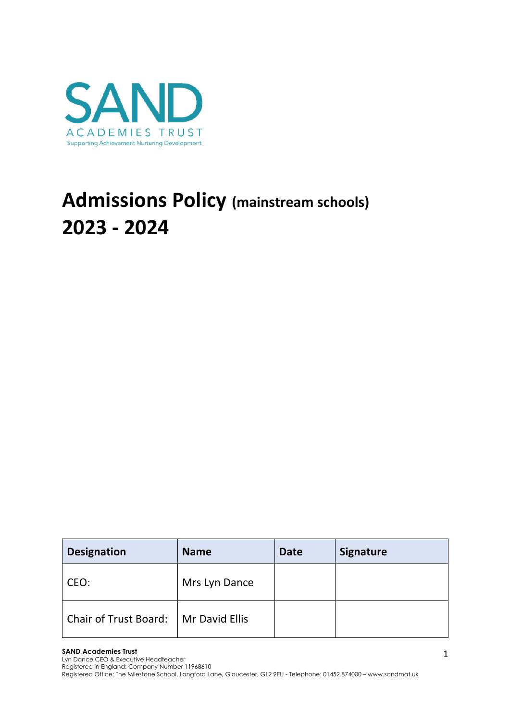

# **Admissions Policy (mainstream schools) 2023 - 2024**

| <b>Designation</b>                     | <b>Name</b>   | <b>Date</b> | <b>Signature</b> |
|----------------------------------------|---------------|-------------|------------------|
| CEO:                                   | Mrs Lyn Dance |             |                  |
| Chair of Trust Board:   Mr David Ellis |               |             |                  |

#### **SAND Academies Trust**

Lyn Dance CEO & Executive Headteacher

Registered in England: Company Number 11968610

Registered Office: The Milestone School, Longford Lane, Gloucester, GL2 9EU - Telephone: 01452 874000 – www.sandmat.uk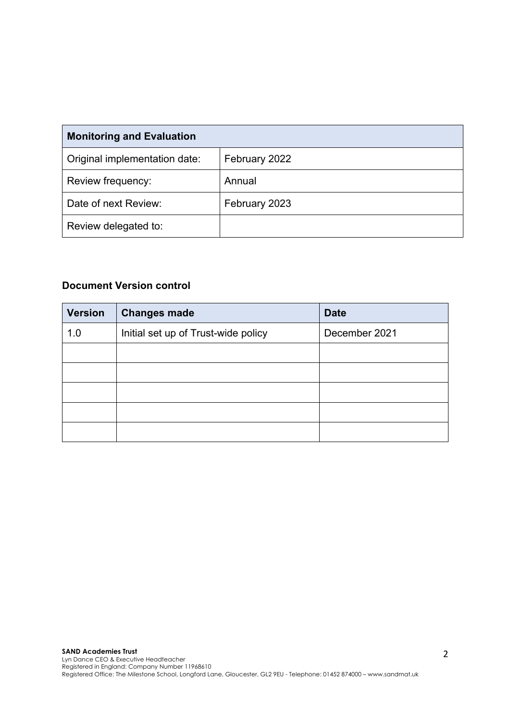| <b>Monitoring and Evaluation</b> |               |  |  |  |
|----------------------------------|---------------|--|--|--|
| Original implementation date:    | February 2022 |  |  |  |
| Review frequency:                | Annual        |  |  |  |
| Date of next Review:             | February 2023 |  |  |  |
| Review delegated to:             |               |  |  |  |

# **Document Version control**

| <b>Version</b> | <b>Changes made</b>                 | <b>Date</b>   |
|----------------|-------------------------------------|---------------|
| 1.0            | Initial set up of Trust-wide policy | December 2021 |
|                |                                     |               |
|                |                                     |               |
|                |                                     |               |
|                |                                     |               |
|                |                                     |               |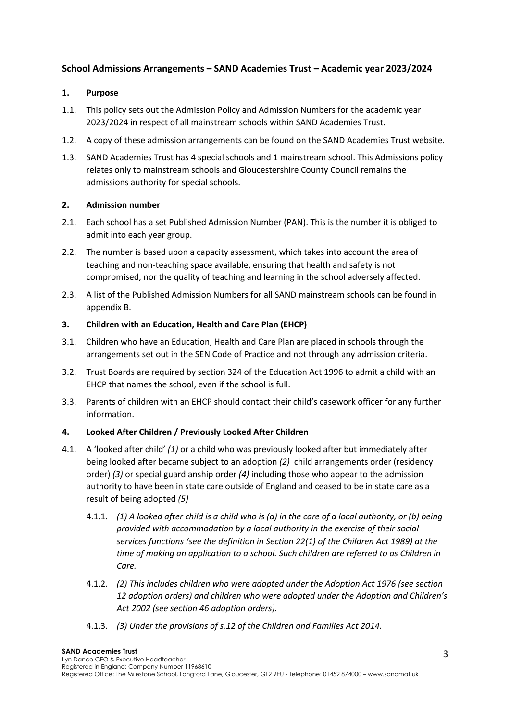## **School Admissions Arrangements – SAND Academies Trust – Academic year 2023/2024**

## **1. Purpose**

- 1.1. This policy sets out the Admission Policy and Admission Numbers for the academic year 2023/2024 in respect of all mainstream schools within SAND Academies Trust.
- 1.2. A copy of these admission arrangements can be found on the SAND Academies Trust website.
- 1.3. SAND Academies Trust has 4 special schools and 1 mainstream school. This Admissions policy relates only to mainstream schools and Gloucestershire County Council remains the admissions authority for special schools.

## **2. Admission number**

- 2.1. Each school has a set Published Admission Number (PAN). This is the number it is obliged to admit into each year group.
- 2.2. The number is based upon a capacity assessment, which takes into account the area of teaching and non-teaching space available, ensuring that health and safety is not compromised, nor the quality of teaching and learning in the school adversely affected.
- 2.3. A list of the Published Admission Numbers for all SAND mainstream schools can be found in appendix B.

## **3. Children with an Education, Health and Care Plan (EHCP)**

- 3.1. Children who have an Education, Health and Care Plan are placed in schools through the arrangements set out in the SEN Code of Practice and not through any admission criteria.
- 3.2. Trust Boards are required by section 324 of the Education Act 1996 to admit a child with an EHCP that names the school, even if the school is full.
- 3.3. Parents of children with an EHCP should contact their child's casework officer for any further information.

## **4. Looked After Children / Previously Looked After Children**

- 4.1. A 'looked after child' *(1)* or a child who was previously looked after but immediately after being looked after became subject to an adoption *(2)* child arrangements order (residency order) *(3)* or special guardianship order *(4)* including those who appear to the admission authority to have been in state care outside of England and ceased to be in state care as a result of being adopted *(5)*
	- 4.1.1. *(1) A looked after child is a child who is (a) in the care of a local authority, or (b) being provided with accommodation by a local authority in the exercise of their social services functions (see the definition in Section 22(1) of the Children Act 1989) at the time of making an application to a school. Such children are referred to as Children in Care.*
	- 4.1.2. *(2) This includes children who were adopted under the Adoption Act 1976 (see section 12 adoption orders) and children who were adopted under the Adoption and Children's Act 2002 (see section 46 adoption orders).*
	- 4.1.3. *(3) Under the provisions of s.12 of the Children and Families Act 2014.*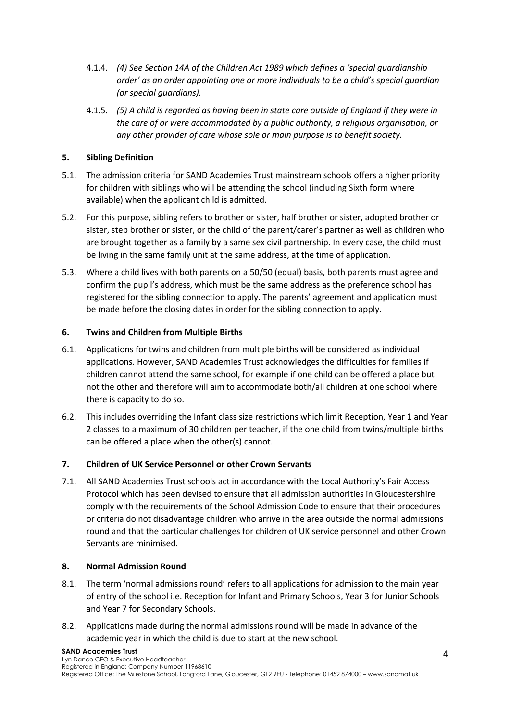- 4.1.4. *(4) See Section 14A of the Children Act 1989 which defines a 'special guardianship order' as an order appointing one or more individuals to be a child's special guardian (or special guardians).*
- 4.1.5. *(5) A child is regarded as having been in state care outside of England if they were in the care of or were accommodated by a public authority, a religious organisation, or any other provider of care whose sole or main purpose is to benefit society.*

## **5. Sibling Definition**

- 5.1. The admission criteria for SAND Academies Trust mainstream schools offers a higher priority for children with siblings who will be attending the school (including Sixth form where available) when the applicant child is admitted.
- 5.2. For this purpose, sibling refers to brother or sister, half brother or sister, adopted brother or sister, step brother or sister, or the child of the parent/carer's partner as well as children who are brought together as a family by a same sex civil partnership. In every case, the child must be living in the same family unit at the same address, at the time of application.
- 5.3. Where a child lives with both parents on a 50/50 (equal) basis, both parents must agree and confirm the pupil's address, which must be the same address as the preference school has registered for the sibling connection to apply. The parents' agreement and application must be made before the closing dates in order for the sibling connection to apply.

## **6. Twins and Children from Multiple Births**

- 6.1. Applications for twins and children from multiple births will be considered as individual applications. However, SAND Academies Trust acknowledges the difficulties for families if children cannot attend the same school, for example if one child can be offered a place but not the other and therefore will aim to accommodate both/all children at one school where there is capacity to do so.
- 6.2. This includes overriding the Infant class size restrictions which limit Reception, Year 1 and Year 2 classes to a maximum of 30 children per teacher, if the one child from twins/multiple births can be offered a place when the other(s) cannot.

## **7. Children of UK Service Personnel or other Crown Servants**

7.1. All SAND Academies Trust schools act in accordance with the Local Authority's Fair Access Protocol which has been devised to ensure that all admission authorities in Gloucestershire comply with the requirements of the School Admission Code to ensure that their procedures or criteria do not disadvantage children who arrive in the area outside the normal admissions round and that the particular challenges for children of UK service personnel and other Crown Servants are minimised.

## **8. Normal Admission Round**

- 8.1. The term 'normal admissions round' refers to all applications for admission to the main year of entry of the school i.e. Reception for Infant and Primary Schools, Year 3 for Junior Schools and Year 7 for Secondary Schools.
- 8.2. Applications made during the normal admissions round will be made in advance of the academic year in which the child is due to start at the new school.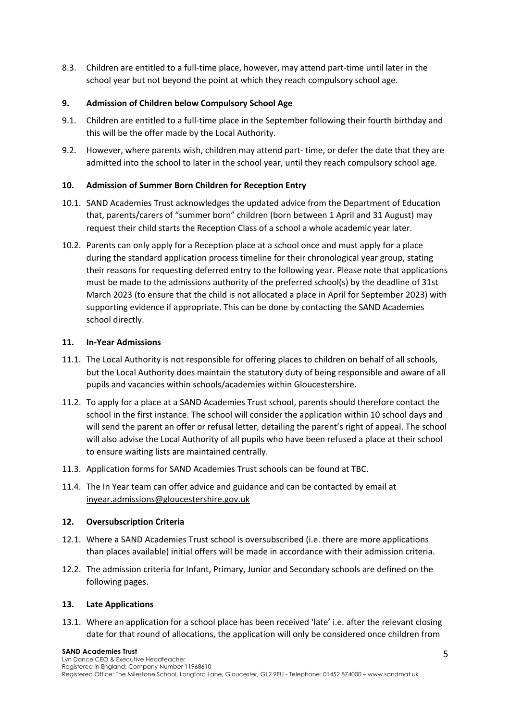8.3. Children are entitled to a full-time place, however, may attend part-time until later in the school year but not beyond the point at which they reach compulsory school age.

## **9. Admission of Children below Compulsory School Age**

- 9.1. Children are entitled to a full-time place in the September following their fourth birthday and this will be the offer made by the Local Authority.
- 9.2. However, where parents wish, children may attend part- time, or defer the date that they are admitted into the school to later in the school year, until they reach compulsory school age.

## **10. Admission of Summer Born Children for Reception Entry**

- 10.1. SAND Academies Trust acknowledges the updated advice from the Department of Education that, parents/carers of "summer born" children (born between 1 April and 31 August) may request their child starts the Reception Class of a school a whole academic year later.
- 10.2. Parents can only apply for a Reception place at a school once and must apply for a place during the standard application process timeline for their chronological year group, stating their reasons for requesting deferred entry to the following year. Please note that applications must be made to the admissions authority of the preferred school(s) by the deadline of 31st March 2023 (to ensure that the child is not allocated a place in April for September 2023) with supporting evidence if appropriate. This can be done by contacting the SAND Academies school directly.

## **11. In-Year Admissions**

- 11.1. The Local Authority is not responsible for offering places to children on behalf of all schools, but the Local Authority does maintain the statutory duty of being responsible and aware of all pupils and vacancies within schools/academies within Gloucestershire.
- 11.2. To apply for a place at a SAND Academies Trust school, parents should therefore contact the school in the first instance. The school will consider the application within 10 school days and will send the parent an offer or refusal letter, detailing the parent's right of appeal. The school will also advise the Local Authority of all pupils who have been refused a place at their school to ensure waiting lists are maintained centrally.
- 11.3. Application forms for SAND Academies Trust schools can be found at TBC.
- 11.4. The In Year team can offer advice and guidance and can be contacted by email at inyear.admissions@gloucestershire.gov.uk

## **12. Oversubscription Criteria**

- 12.1. Where a SAND Academies Trust school is oversubscribed (i.e. there are more applications than places available) initial offers will be made in accordance with their admission criteria.
- 12.2. The admission criteria for Infant, Primary, Junior and Secondary schools are defined on the following pages.

## **13. Late Applications**

13.1. Where an application for a school place has been received 'late' i.e. after the relevant closing date for that round of allocations, the application will only be considered once children from

#### **SAND Academies Trust**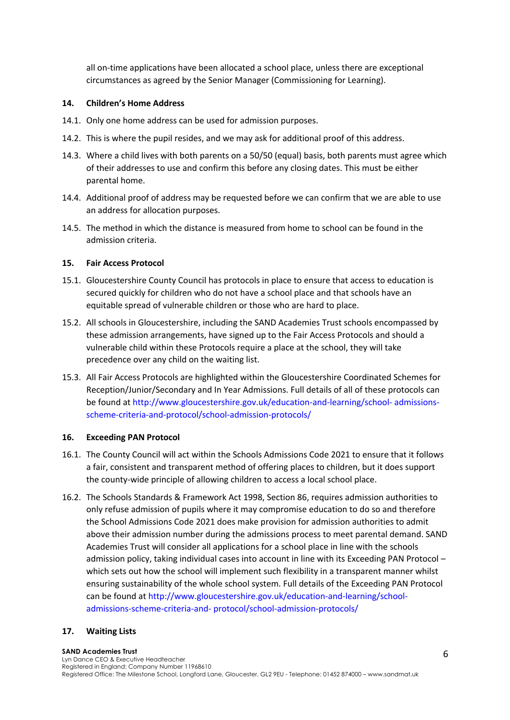all on-time applications have been allocated a school place, unless there are exceptional circumstances as agreed by the Senior Manager (Commissioning for Learning).

#### **14. Children's Home Address**

- 14.1. Only one home address can be used for admission purposes.
- 14.2. This is where the pupil resides, and we may ask for additional proof of this address.
- 14.3. Where a child lives with both parents on a 50/50 (equal) basis, both parents must agree which of their addresses to use and confirm this before any closing dates. This must be either parental home.
- 14.4. Additional proof of address may be requested before we can confirm that we are able to use an address for allocation purposes.
- 14.5. The method in which the distance is measured from home to school can be found in the admission criteria.

#### **15. Fair Access Protocol**

- 15.1. Gloucestershire County Council has protocols in place to ensure that access to education is secured quickly for children who do not have a school place and that schools have an equitable spread of vulnerable children or those who are hard to place.
- 15.2. All schools in Gloucestershire, including the SAND Academies Trust schools encompassed by these admission arrangements, have signed up to the Fair Access Protocols and should a vulnerable child within these Protocols require a place at the school, they will take precedence over any child on the waiting list.
- 15.3. All Fair Access Protocols are highlighted within the Gloucestershire Coordinated Schemes for Reception/Junior/Secondary and In Year Admissions. Full details of all of these protocols can be found at http://www.gloucestershire.gov.uk/education-and-learning/school- admissionsscheme-criteria-and-protocol/school-admission-protocols/

#### **16. Exceeding PAN Protocol**

- 16.1. The County Council will act within the Schools Admissions Code 2021 to ensure that it follows a fair, consistent and transparent method of offering places to children, but it does support the county-wide principle of allowing children to access a local school place.
- 16.2. The Schools Standards & Framework Act 1998, Section 86, requires admission authorities to only refuse admission of pupils where it may compromise education to do so and therefore the School Admissions Code 2021 does make provision for admission authorities to admit above their admission number during the admissions process to meet parental demand. SAND Academies Trust will consider all applications for a school place in line with the schools admission policy, taking individual cases into account in line with its Exceeding PAN Protocol – which sets out how the school will implement such flexibility in a transparent manner whilst ensuring sustainability of the whole school system. Full details of the Exceeding PAN Protocol can be found at http://www.gloucestershire.gov.uk/education-and-learning/schooladmissions-scheme-criteria-and- protocol/school-admission-protocols/

## **17. Waiting Lists**

#### **SAND Academies Trust**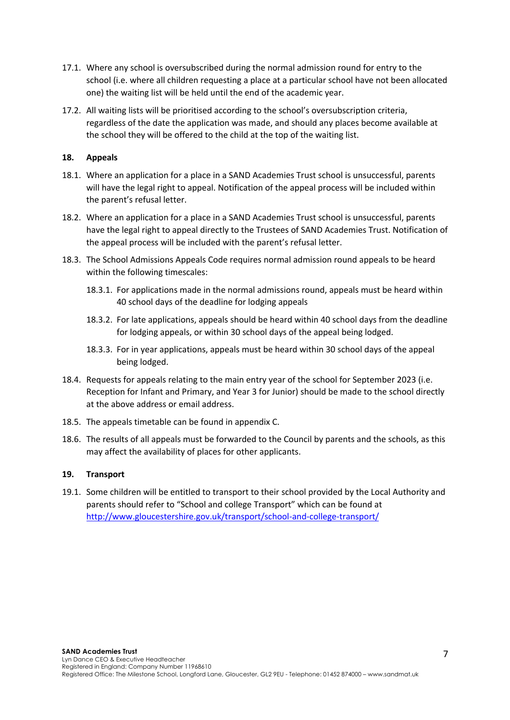- 17.1. Where any school is oversubscribed during the normal admission round for entry to the school (i.e. where all children requesting a place at a particular school have not been allocated one) the waiting list will be held until the end of the academic year.
- 17.2. All waiting lists will be prioritised according to the school's oversubscription criteria, regardless of the date the application was made, and should any places become available at the school they will be offered to the child at the top of the waiting list.

## **18. Appeals**

- 18.1. Where an application for a place in a SAND Academies Trust school is unsuccessful, parents will have the legal right to appeal. Notification of the appeal process will be included within the parent's refusal letter.
- 18.2. Where an application for a place in a SAND Academies Trust school is unsuccessful, parents have the legal right to appeal directly to the Trustees of SAND Academies Trust. Notification of the appeal process will be included with the parent's refusal letter.
- 18.3. The School Admissions Appeals Code requires normal admission round appeals to be heard within the following timescales:
	- 18.3.1. For applications made in the normal admissions round, appeals must be heard within 40 school days of the deadline for lodging appeals
	- 18.3.2. For late applications, appeals should be heard within 40 school days from the deadline for lodging appeals, or within 30 school days of the appeal being lodged.
	- 18.3.3. For in year applications, appeals must be heard within 30 school days of the appeal being lodged.
- 18.4. Requests for appeals relating to the main entry year of the school for September 2023 (i.e. Reception for Infant and Primary, and Year 3 for Junior) should be made to the school directly at the above address or email address.
- 18.5. The appeals timetable can be found in appendix C.
- 18.6. The results of all appeals must be forwarded to the Council by parents and the schools, as this may affect the availability of places for other applicants.

## **19. Transport**

19.1. Some children will be entitled to transport to their school provided by the Local Authority and parents should refer to "School and college Transport" which can be found at http://www.gloucestershire.gov.uk/transport/school-and-college-transport/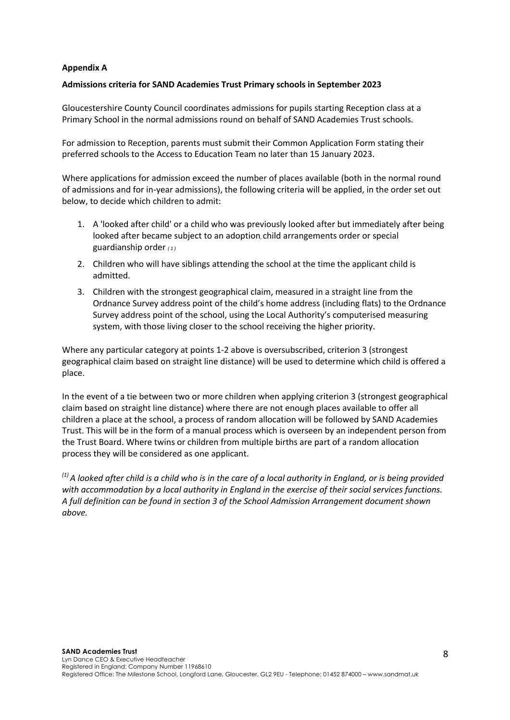## **Appendix A**

## **Admissions criteria for SAND Academies Trust Primary schools in September 2023**

Gloucestershire County Council coordinates admissions for pupils starting Reception class at a Primary School in the normal admissions round on behalf of SAND Academies Trust schools.

For admission to Reception, parents must submit their Common Application Form stating their preferred schools to the Access to Education Team no later than 15 January 2023.

Where applications for admission exceed the number of places available (both in the normal round of admissions and for in-year admissions), the following criteria will be applied, in the order set out below, to decide which children to admit:

- 1. A 'looked after child' or a child who was previously looked after but immediately after being looked after became subject to an adoption, child arrangements order or special guardianship order *( 1 )*
- 2. Children who will have siblings attending the school at the time the applicant child is admitted.
- 3. Children with the strongest geographical claim, measured in a straight line from the Ordnance Survey address point of the child's home address (including flats) to the Ordnance Survey address point of the school, using the Local Authority's computerised measuring system, with those living closer to the school receiving the higher priority.

Where any particular category at points 1-2 above is oversubscribed, criterion 3 (strongest geographical claim based on straight line distance) will be used to determine which child is offered a place.

In the event of a tie between two or more children when applying criterion 3 (strongest geographical claim based on straight line distance) where there are not enough places available to offer all children a place at the school, a process of random allocation will be followed by SAND Academies Trust. This will be in the form of a manual process which is overseen by an independent person from the Trust Board. Where twins or children from multiple births are part of a random allocation process they will be considered as one applicant.

*(1) A looked after child is a child who is in the care of a local authority in England, or is being provided with accommodation by a local authority in England in the exercise of their social services functions. A full definition can be found in section 3 of the School Admission Arrangement document shown above.*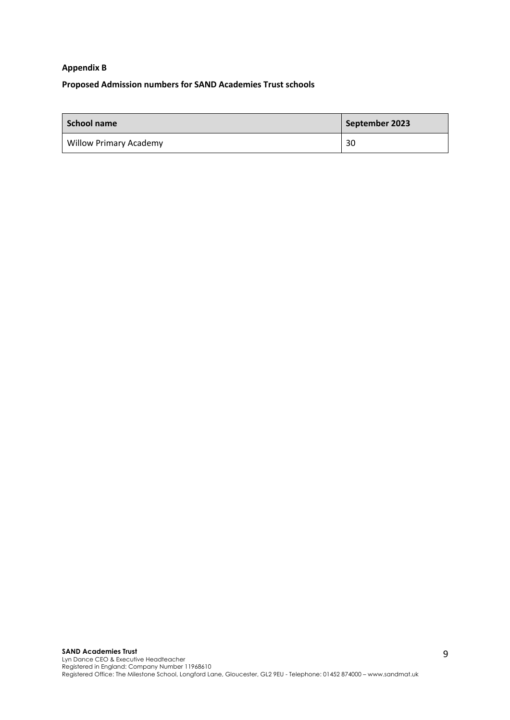## **Appendix B**

## **Proposed Admission numbers for SAND Academies Trust schools**

| l School name                 | September 2023 |
|-------------------------------|----------------|
| <b>Willow Primary Academy</b> | 30             |